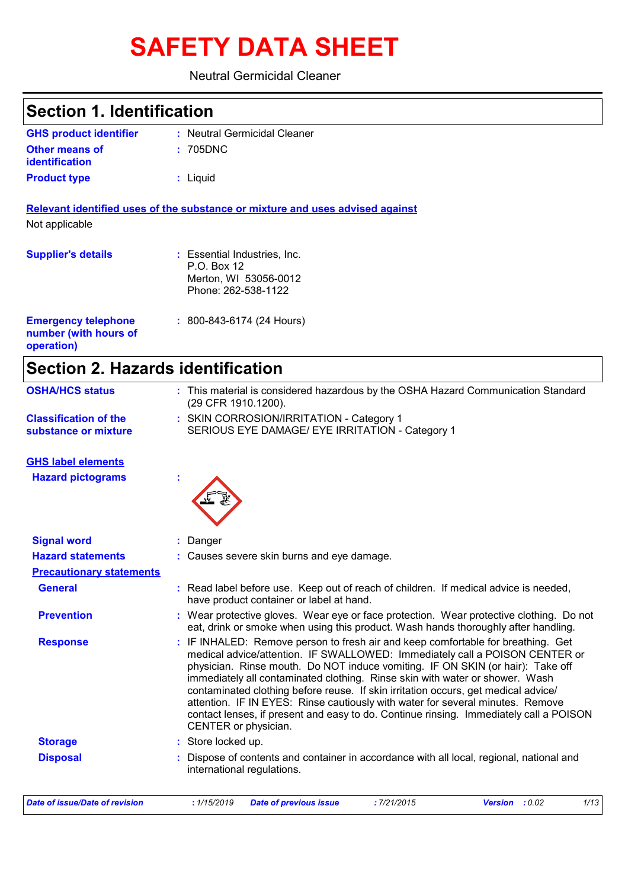# **SAFETY DATA SHEET**

## Neutral Germicidal Cleaner

| <b>Section 1. Identification</b>                                  |                                                                                                                                                                                                                                                                                                                                                                                                                                                                                                                                                                                                                             |
|-------------------------------------------------------------------|-----------------------------------------------------------------------------------------------------------------------------------------------------------------------------------------------------------------------------------------------------------------------------------------------------------------------------------------------------------------------------------------------------------------------------------------------------------------------------------------------------------------------------------------------------------------------------------------------------------------------------|
| <b>GHS product identifier</b>                                     | : Neutral Germicidal Cleaner                                                                                                                                                                                                                                                                                                                                                                                                                                                                                                                                                                                                |
| <b>Other means of</b><br>identification                           | 705DNC                                                                                                                                                                                                                                                                                                                                                                                                                                                                                                                                                                                                                      |
| <b>Product type</b>                                               | : Liquid                                                                                                                                                                                                                                                                                                                                                                                                                                                                                                                                                                                                                    |
| Not applicable                                                    | Relevant identified uses of the substance or mixture and uses advised against                                                                                                                                                                                                                                                                                                                                                                                                                                                                                                                                               |
| <b>Supplier's details</b>                                         | : Essential Industries, Inc.<br>P.O. Box 12<br>Merton, WI 53056-0012<br>Phone: 262-538-1122                                                                                                                                                                                                                                                                                                                                                                                                                                                                                                                                 |
| <b>Emergency telephone</b><br>number (with hours of<br>operation) | $: 800 - 843 - 6174 (24$ Hours)                                                                                                                                                                                                                                                                                                                                                                                                                                                                                                                                                                                             |
| <b>Section 2. Hazards identification</b>                          |                                                                                                                                                                                                                                                                                                                                                                                                                                                                                                                                                                                                                             |
| <b>OSHA/HCS status</b>                                            | : This material is considered hazardous by the OSHA Hazard Communication Standard<br>(29 CFR 1910.1200).                                                                                                                                                                                                                                                                                                                                                                                                                                                                                                                    |
| <b>Classification of the</b><br>substance or mixture              | : SKIN CORROSION/IRRITATION - Category 1<br>SERIOUS EYE DAMAGE/ EYE IRRITATION - Category 1                                                                                                                                                                                                                                                                                                                                                                                                                                                                                                                                 |
| <b>GHS label elements</b>                                         |                                                                                                                                                                                                                                                                                                                                                                                                                                                                                                                                                                                                                             |
| <b>Hazard pictograms</b>                                          |                                                                                                                                                                                                                                                                                                                                                                                                                                                                                                                                                                                                                             |
| <b>Signal word</b>                                                | Danger                                                                                                                                                                                                                                                                                                                                                                                                                                                                                                                                                                                                                      |
| <b>Hazard statements</b>                                          | Causes severe skin burns and eye damage.                                                                                                                                                                                                                                                                                                                                                                                                                                                                                                                                                                                    |
| <b>Precautionary statements</b>                                   |                                                                                                                                                                                                                                                                                                                                                                                                                                                                                                                                                                                                                             |
| <b>General</b>                                                    | : Read label before use. Keep out of reach of children. If medical advice is needed,<br>have product container or label at hand.                                                                                                                                                                                                                                                                                                                                                                                                                                                                                            |
| <b>Prevention</b>                                                 | : Wear protective gloves. Wear eye or face protection. Wear protective clothing. Do not<br>eat, drink or smoke when using this product. Wash hands thoroughly after handling.                                                                                                                                                                                                                                                                                                                                                                                                                                               |
| <b>Response</b>                                                   | : IF INHALED: Remove person to fresh air and keep comfortable for breathing. Get<br>medical advice/attention. IF SWALLOWED: Immediately call a POISON CENTER or<br>physician. Rinse mouth. Do NOT induce vomiting. IF ON SKIN (or hair): Take off<br>immediately all contaminated clothing. Rinse skin with water or shower. Wash<br>contaminated clothing before reuse. If skin irritation occurs, get medical advice/<br>attention. IF IN EYES: Rinse cautiously with water for several minutes. Remove<br>contact lenses, if present and easy to do. Continue rinsing. Immediately call a POISON<br>CENTER or physician. |
| <b>Storage</b>                                                    | : Store locked up.                                                                                                                                                                                                                                                                                                                                                                                                                                                                                                                                                                                                          |
| <b>Disposal</b>                                                   | Dispose of contents and container in accordance with all local, regional, national and<br>international regulations.                                                                                                                                                                                                                                                                                                                                                                                                                                                                                                        |

| Date of issue/Date of revision | : 1/15/2019 Date of previous issue | : 7/21/2015 | <b>Version</b> : 0.02 | 1/13 |
|--------------------------------|------------------------------------|-------------|-----------------------|------|
|                                |                                    |             |                       |      |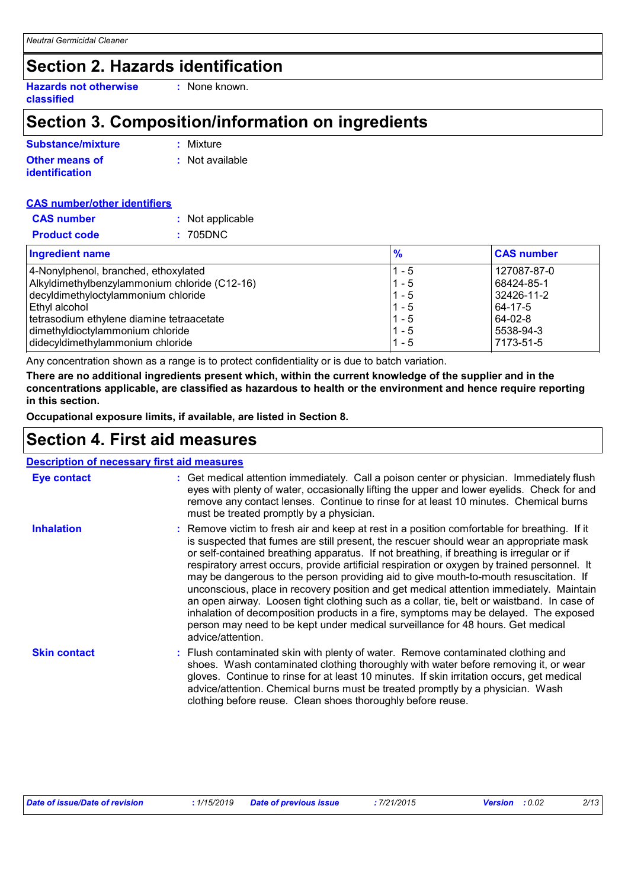# **Section 2. Hazards identification**

**Hazards not otherwise classified**

# **Section 3. Composition/information on ingredients**

**:** None known.

| Substance/mixture     | : Mixture       |
|-----------------------|-----------------|
| <b>Other means of</b> | : Not available |
| <b>identification</b> |                 |

|--|

| <b>CAS number</b>   | : Not applicable |
|---------------------|------------------|
| <b>Product code</b> | : 705DNC         |

| <b>Ingredient name</b>                        | $\frac{9}{6}$ | <b>CAS number</b> |
|-----------------------------------------------|---------------|-------------------|
| 4-Nonylphenol, branched, ethoxylated          | $1 - 5$       | 127087-87-0       |
| Alkyldimethylbenzylammonium chloride (C12-16) | $1 - 5$       | 68424-85-1        |
| decyldimethyloctylammonium chloride           | $11 - 5$      | 32426-11-2        |
| Ethyl alcohol                                 | $1 - 5$       | 64-17-5           |
| tetrasodium ethylene diamine tetraacetate     | $1 - 5$       | 64-02-8           |
| dimethyldioctylammonium chloride              | $1 - 5$       | 5538-94-3         |
| didecyldimethylammonium chloride              | $1 - 5$       | 7173-51-5         |

Any concentration shown as a range is to protect confidentiality or is due to batch variation.

**There are no additional ingredients present which, within the current knowledge of the supplier and in the concentrations applicable, are classified as hazardous to health or the environment and hence require reporting in this section.**

**Occupational exposure limits, if available, are listed in Section 8.**

## **Section 4. First aid measures**

| <b>Description of necessary first aid measures</b> |                                                                                                                                                                                                                                                                                                                                                                                                                                                                                                                                                                                                                                                                                                                                                                                                                                                                      |
|----------------------------------------------------|----------------------------------------------------------------------------------------------------------------------------------------------------------------------------------------------------------------------------------------------------------------------------------------------------------------------------------------------------------------------------------------------------------------------------------------------------------------------------------------------------------------------------------------------------------------------------------------------------------------------------------------------------------------------------------------------------------------------------------------------------------------------------------------------------------------------------------------------------------------------|
| Eye contact                                        | : Get medical attention immediately. Call a poison center or physician. Immediately flush<br>eyes with plenty of water, occasionally lifting the upper and lower eyelids. Check for and<br>remove any contact lenses. Continue to rinse for at least 10 minutes. Chemical burns<br>must be treated promptly by a physician.                                                                                                                                                                                                                                                                                                                                                                                                                                                                                                                                          |
| <b>Inhalation</b>                                  | : Remove victim to fresh air and keep at rest in a position comfortable for breathing. If it<br>is suspected that fumes are still present, the rescuer should wear an appropriate mask<br>or self-contained breathing apparatus. If not breathing, if breathing is irregular or if<br>respiratory arrest occurs, provide artificial respiration or oxygen by trained personnel. It<br>may be dangerous to the person providing aid to give mouth-to-mouth resuscitation. If<br>unconscious, place in recovery position and get medical attention immediately. Maintain<br>an open airway. Loosen tight clothing such as a collar, tie, belt or waistband. In case of<br>inhalation of decomposition products in a fire, symptoms may be delayed. The exposed<br>person may need to be kept under medical surveillance for 48 hours. Get medical<br>advice/attention. |
| <b>Skin contact</b>                                | : Flush contaminated skin with plenty of water. Remove contaminated clothing and<br>shoes. Wash contaminated clothing thoroughly with water before removing it, or wear<br>gloves. Continue to rinse for at least 10 minutes. If skin irritation occurs, get medical<br>advice/attention. Chemical burns must be treated promptly by a physician. Wash<br>clothing before reuse. Clean shoes thoroughly before reuse.                                                                                                                                                                                                                                                                                                                                                                                                                                                |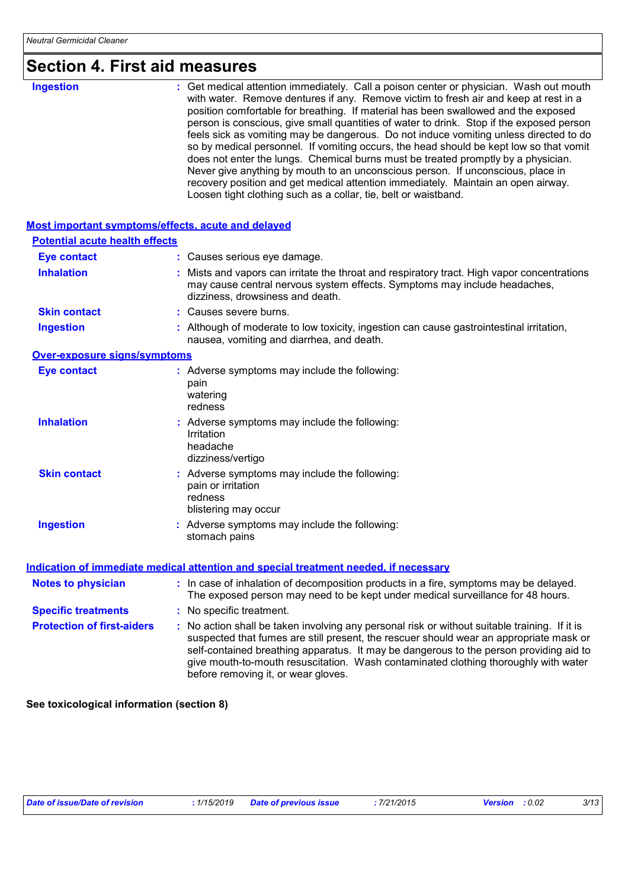# **Section 4. First aid measures**

| <b>Ingestion</b> | : Get medical attention immediately. Call a poison center or physician. Wash out mouth<br>with water. Remove dentures if any. Remove victim to fresh air and keep at rest in a<br>position comfortable for breathing. If material has been swallowed and the exposed<br>person is conscious, give small quantities of water to drink. Stop if the exposed person<br>feels sick as vomiting may be dangerous. Do not induce vomiting unless directed to do<br>so by medical personnel. If vomiting occurs, the head should be kept low so that vomit<br>does not enter the lungs. Chemical burns must be treated promptly by a physician.<br>Never give anything by mouth to an unconscious person. If unconscious, place in<br>recovery position and get medical attention immediately. Maintain an open airway.<br>Loosen tight clothing such as a collar, tie, belt or waistband. |
|------------------|-------------------------------------------------------------------------------------------------------------------------------------------------------------------------------------------------------------------------------------------------------------------------------------------------------------------------------------------------------------------------------------------------------------------------------------------------------------------------------------------------------------------------------------------------------------------------------------------------------------------------------------------------------------------------------------------------------------------------------------------------------------------------------------------------------------------------------------------------------------------------------------|
|------------------|-------------------------------------------------------------------------------------------------------------------------------------------------------------------------------------------------------------------------------------------------------------------------------------------------------------------------------------------------------------------------------------------------------------------------------------------------------------------------------------------------------------------------------------------------------------------------------------------------------------------------------------------------------------------------------------------------------------------------------------------------------------------------------------------------------------------------------------------------------------------------------------|

| Most important symptoms/effects, acute and delayed |                                                                                                                                                                                                                                                                                                                                                                                                                 |
|----------------------------------------------------|-----------------------------------------------------------------------------------------------------------------------------------------------------------------------------------------------------------------------------------------------------------------------------------------------------------------------------------------------------------------------------------------------------------------|
| <b>Potential acute health effects</b>              |                                                                                                                                                                                                                                                                                                                                                                                                                 |
| <b>Eye contact</b>                                 | : Causes serious eye damage.                                                                                                                                                                                                                                                                                                                                                                                    |
| <b>Inhalation</b>                                  | : Mists and vapors can irritate the throat and respiratory tract. High vapor concentrations<br>may cause central nervous system effects. Symptoms may include headaches,<br>dizziness, drowsiness and death.                                                                                                                                                                                                    |
| <b>Skin contact</b>                                | : Causes severe burns.                                                                                                                                                                                                                                                                                                                                                                                          |
| <b>Ingestion</b>                                   | : Although of moderate to low toxicity, ingestion can cause gastrointestinal irritation,<br>nausea, vomiting and diarrhea, and death.                                                                                                                                                                                                                                                                           |
| <b>Over-exposure signs/symptoms</b>                |                                                                                                                                                                                                                                                                                                                                                                                                                 |
| <b>Eye contact</b>                                 | : Adverse symptoms may include the following:<br>pain<br>watering<br>redness                                                                                                                                                                                                                                                                                                                                    |
| <b>Inhalation</b>                                  | : Adverse symptoms may include the following:<br>Irritation<br>headache<br>dizziness/vertigo                                                                                                                                                                                                                                                                                                                    |
| <b>Skin contact</b>                                | : Adverse symptoms may include the following:<br>pain or irritation<br>redness<br>blistering may occur                                                                                                                                                                                                                                                                                                          |
| <b>Ingestion</b>                                   | : Adverse symptoms may include the following:<br>stomach pains                                                                                                                                                                                                                                                                                                                                                  |
|                                                    | Indication of immediate medical attention and special treatment needed, if necessary                                                                                                                                                                                                                                                                                                                            |
| <b>Notes to physician</b>                          | : In case of inhalation of decomposition products in a fire, symptoms may be delayed.<br>The exposed person may need to be kept under medical surveillance for 48 hours.                                                                                                                                                                                                                                        |
| <b>Specific treatments</b>                         | : No specific treatment.                                                                                                                                                                                                                                                                                                                                                                                        |
| <b>Protection of first-aiders</b>                  | : No action shall be taken involving any personal risk or without suitable training. If it is<br>suspected that fumes are still present, the rescuer should wear an appropriate mask or<br>self-contained breathing apparatus. It may be dangerous to the person providing aid to<br>give mouth-to-mouth resuscitation. Wash contaminated clothing thoroughly with water<br>before removing it, or wear gloves. |

**See toxicological information (section 8)**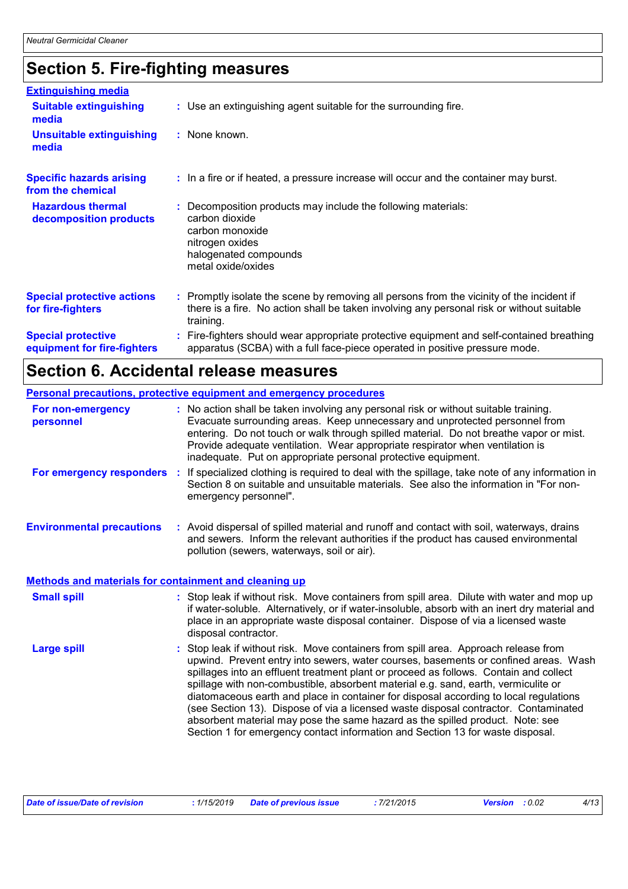# **Section 5. Fire-fighting measures**

| <b>Extinguishing media</b>                               |                                                                                                                                                                                                     |
|----------------------------------------------------------|-----------------------------------------------------------------------------------------------------------------------------------------------------------------------------------------------------|
| <b>Suitable extinguishing</b><br>media                   | : Use an extinguishing agent suitable for the surrounding fire.                                                                                                                                     |
| <b>Unsuitable extinguishing</b><br>media                 | : None known.                                                                                                                                                                                       |
| <b>Specific hazards arising</b><br>from the chemical     | : In a fire or if heated, a pressure increase will occur and the container may burst.                                                                                                               |
| <b>Hazardous thermal</b><br>decomposition products       | Decomposition products may include the following materials:<br>carbon dioxide<br>carbon monoxide<br>nitrogen oxides<br>halogenated compounds<br>metal oxide/oxides                                  |
| <b>Special protective actions</b><br>for fire-fighters   | : Promptly isolate the scene by removing all persons from the vicinity of the incident if<br>there is a fire. No action shall be taken involving any personal risk or without suitable<br>training. |
| <b>Special protective</b><br>equipment for fire-fighters | Fire-fighters should wear appropriate protective equipment and self-contained breathing<br>apparatus (SCBA) with a full face-piece operated in positive pressure mode.                              |

# **Section 6. Accidental release measures**

|                                                              | Personal precautions, protective equipment and emergency procedures                                                                                                                                                                                                                                                                                                                                                                                                                                                                                                                                                                                                                                        |
|--------------------------------------------------------------|------------------------------------------------------------------------------------------------------------------------------------------------------------------------------------------------------------------------------------------------------------------------------------------------------------------------------------------------------------------------------------------------------------------------------------------------------------------------------------------------------------------------------------------------------------------------------------------------------------------------------------------------------------------------------------------------------------|
| For non-emergency<br>personnel                               | : No action shall be taken involving any personal risk or without suitable training.<br>Evacuate surrounding areas. Keep unnecessary and unprotected personnel from<br>entering. Do not touch or walk through spilled material. Do not breathe vapor or mist.<br>Provide adequate ventilation. Wear appropriate respirator when ventilation is<br>inadequate. Put on appropriate personal protective equipment.                                                                                                                                                                                                                                                                                            |
| For emergency responders :                                   | If specialized clothing is required to deal with the spillage, take note of any information in<br>Section 8 on suitable and unsuitable materials. See also the information in "For non-<br>emergency personnel".                                                                                                                                                                                                                                                                                                                                                                                                                                                                                           |
| <b>Environmental precautions</b>                             | : Avoid dispersal of spilled material and runoff and contact with soil, waterways, drains<br>and sewers. Inform the relevant authorities if the product has caused environmental<br>pollution (sewers, waterways, soil or air).                                                                                                                                                                                                                                                                                                                                                                                                                                                                            |
| <b>Methods and materials for containment and cleaning up</b> |                                                                                                                                                                                                                                                                                                                                                                                                                                                                                                                                                                                                                                                                                                            |
| <b>Small spill</b>                                           | : Stop leak if without risk. Move containers from spill area. Dilute with water and mop up<br>if water-soluble. Alternatively, or if water-insoluble, absorb with an inert dry material and<br>place in an appropriate waste disposal container. Dispose of via a licensed waste<br>disposal contractor.                                                                                                                                                                                                                                                                                                                                                                                                   |
| <b>Large spill</b>                                           | Stop leak if without risk. Move containers from spill area. Approach release from<br>upwind. Prevent entry into sewers, water courses, basements or confined areas. Wash<br>spillages into an effluent treatment plant or proceed as follows. Contain and collect<br>spillage with non-combustible, absorbent material e.g. sand, earth, vermiculite or<br>diatomaceous earth and place in container for disposal according to local regulations<br>(see Section 13). Dispose of via a licensed waste disposal contractor. Contaminated<br>absorbent material may pose the same hazard as the spilled product. Note: see<br>Section 1 for emergency contact information and Section 13 for waste disposal. |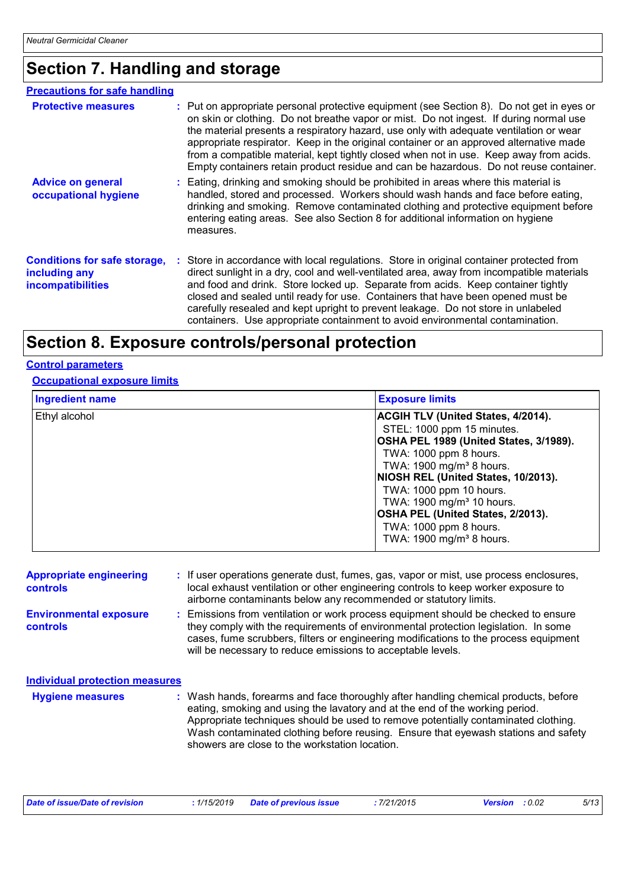# **Section 7. Handling and storage**

| <b>Precautions for safe handling</b>                                             |                                                                                                                                                                                                                                                                                                                                                                                                                                                                                                                                                            |
|----------------------------------------------------------------------------------|------------------------------------------------------------------------------------------------------------------------------------------------------------------------------------------------------------------------------------------------------------------------------------------------------------------------------------------------------------------------------------------------------------------------------------------------------------------------------------------------------------------------------------------------------------|
| <b>Protective measures</b>                                                       | : Put on appropriate personal protective equipment (see Section 8). Do not get in eyes or<br>on skin or clothing. Do not breathe vapor or mist. Do not ingest. If during normal use<br>the material presents a respiratory hazard, use only with adequate ventilation or wear<br>appropriate respirator. Keep in the original container or an approved alternative made<br>from a compatible material, kept tightly closed when not in use. Keep away from acids.<br>Empty containers retain product residue and can be hazardous. Do not reuse container. |
| <b>Advice on general</b><br>occupational hygiene                                 | : Eating, drinking and smoking should be prohibited in areas where this material is<br>handled, stored and processed. Workers should wash hands and face before eating,<br>drinking and smoking. Remove contaminated clothing and protective equipment before<br>entering eating areas. See also Section 8 for additional information on hygiene<br>measures.                                                                                                                                                                                              |
| <b>Conditions for safe storage,</b><br>including any<br><b>incompatibilities</b> | : Store in accordance with local regulations. Store in original container protected from<br>direct sunlight in a dry, cool and well-ventilated area, away from incompatible materials<br>and food and drink. Store locked up. Separate from acids. Keep container tightly<br>closed and sealed until ready for use. Containers that have been opened must be<br>carefully resealed and kept upright to prevent leakage. Do not store in unlabeled<br>containers. Use appropriate containment to avoid environmental contamination.                         |

# **Section 8. Exposure controls/personal protection**

## **Control parameters**

### **Occupational exposure limits**

| <b>Ingredient name</b> | <b>Exposure limits</b>                                                  |  |  |
|------------------------|-------------------------------------------------------------------------|--|--|
| Ethyl alcohol          | <b>ACGIH TLV (United States, 4/2014).</b><br>STEL: 1000 ppm 15 minutes. |  |  |
|                        | OSHA PEL 1989 (United States, 3/1989).                                  |  |  |
|                        | TWA: 1000 ppm 8 hours.                                                  |  |  |
|                        | TWA: $1900 \text{ mg/m}^3$ 8 hours.                                     |  |  |
|                        | NIOSH REL (United States, 10/2013).                                     |  |  |
|                        | TWA: 1000 ppm 10 hours.                                                 |  |  |
|                        | TWA: 1900 mg/m <sup>3</sup> 10 hours.                                   |  |  |
|                        | OSHA PEL (United States, 2/2013).                                       |  |  |
|                        | TWA: 1000 ppm 8 hours.                                                  |  |  |
|                        | TWA: 1900 mg/m <sup>3</sup> 8 hours.                                    |  |  |

| <b>Appropriate engineering</b><br><b>controls</b> |  | : If user operations generate dust, fumes, gas, vapor or mist, use process enclosures,<br>local exhaust ventilation or other engineering controls to keep worker exposure to<br>airborne contaminants below any recommended or statutory limits.                                                                                |
|---------------------------------------------------|--|---------------------------------------------------------------------------------------------------------------------------------------------------------------------------------------------------------------------------------------------------------------------------------------------------------------------------------|
| <b>Environmental exposure</b><br><b>controls</b>  |  | : Emissions from ventilation or work process equipment should be checked to ensure<br>they comply with the requirements of environmental protection legislation. In some<br>cases, fume scrubbers, filters or engineering modifications to the process equipment<br>will be necessary to reduce emissions to acceptable levels. |
| <b>Individual protection measures</b>             |  |                                                                                                                                                                                                                                                                                                                                 |
| <b>Hygiene measures</b>                           |  | : Wash hands, forearms and face thoroughly after handling chemical products, before<br>eating, smoking and using the lavatory and at the end of the working period.<br>Appropriate techniques should be used to remove potentially contaminated clothing                                                                        |

| Appropriate techniques should be used to remove potentially contaminated clothing. |
|------------------------------------------------------------------------------------|
| Wash contaminated clothing before reusing. Ensure that eyewash stations and safety |
| showers are close to the workstation location.                                     |

| Date of issue/Date of revision | : 1/15/2019 Date of previous issue | 7/21/2015 | <b>Version</b> : 0.02 | 5/13 |
|--------------------------------|------------------------------------|-----------|-----------------------|------|
|                                |                                    |           |                       |      |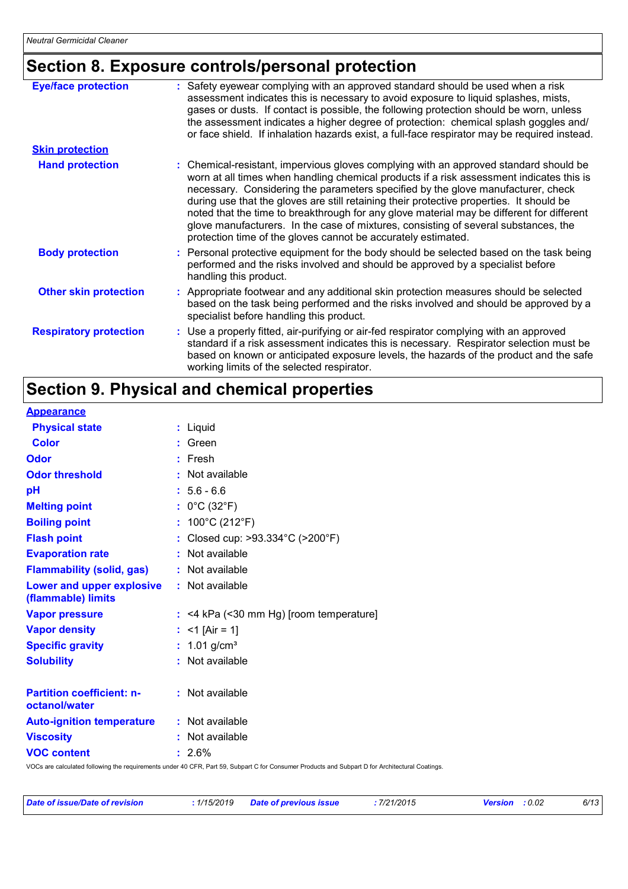# **Section 8. Exposure controls/personal protection**

| <b>Eye/face protection</b>    | : Safety eyewear complying with an approved standard should be used when a risk<br>assessment indicates this is necessary to avoid exposure to liquid splashes, mists,<br>gases or dusts. If contact is possible, the following protection should be worn, unless<br>the assessment indicates a higher degree of protection: chemical splash goggles and/<br>or face shield. If inhalation hazards exist, a full-face respirator may be required instead.                                                                                                                                                              |
|-------------------------------|------------------------------------------------------------------------------------------------------------------------------------------------------------------------------------------------------------------------------------------------------------------------------------------------------------------------------------------------------------------------------------------------------------------------------------------------------------------------------------------------------------------------------------------------------------------------------------------------------------------------|
| <b>Skin protection</b>        |                                                                                                                                                                                                                                                                                                                                                                                                                                                                                                                                                                                                                        |
| <b>Hand protection</b>        | : Chemical-resistant, impervious gloves complying with an approved standard should be<br>worn at all times when handling chemical products if a risk assessment indicates this is<br>necessary. Considering the parameters specified by the glove manufacturer, check<br>during use that the gloves are still retaining their protective properties. It should be<br>noted that the time to breakthrough for any glove material may be different for different<br>glove manufacturers. In the case of mixtures, consisting of several substances, the<br>protection time of the gloves cannot be accurately estimated. |
| <b>Body protection</b>        | : Personal protective equipment for the body should be selected based on the task being<br>performed and the risks involved and should be approved by a specialist before<br>handling this product.                                                                                                                                                                                                                                                                                                                                                                                                                    |
| <b>Other skin protection</b>  | : Appropriate footwear and any additional skin protection measures should be selected<br>based on the task being performed and the risks involved and should be approved by a<br>specialist before handling this product.                                                                                                                                                                                                                                                                                                                                                                                              |
| <b>Respiratory protection</b> | : Use a properly fitted, air-purifying or air-fed respirator complying with an approved<br>standard if a risk assessment indicates this is necessary. Respirator selection must be<br>based on known or anticipated exposure levels, the hazards of the product and the safe<br>working limits of the selected respirator.                                                                                                                                                                                                                                                                                             |

# **Section 9. Physical and chemical properties**

#### **Appearance**

| <b>Physical state</b>                             | : Liquid                                                                                                                                        |
|---------------------------------------------------|-------------------------------------------------------------------------------------------------------------------------------------------------|
| <b>Color</b>                                      | : Green                                                                                                                                         |
| Odor                                              | $:$ Fresh                                                                                                                                       |
| <b>Odor threshold</b>                             | : Not available                                                                                                                                 |
| pH                                                | $: 5.6 - 6.6$                                                                                                                                   |
| <b>Melting point</b>                              | : $0^{\circ}$ C (32 $^{\circ}$ F)                                                                                                               |
| <b>Boiling point</b>                              | : $100^{\circ}$ C (212 $^{\circ}$ F)                                                                                                            |
| <b>Flash point</b>                                | : Closed cup: >93.334°C (>200°F)                                                                                                                |
| <b>Evaporation rate</b>                           | : Not available                                                                                                                                 |
| <b>Flammability (solid, gas)</b>                  | : Not available                                                                                                                                 |
| Lower and upper explosive<br>(flammable) limits   | : Not available                                                                                                                                 |
| <b>Vapor pressure</b>                             | $:$ <4 kPa (<30 mm Hg) [room temperature]                                                                                                       |
| <b>Vapor density</b>                              | : <1 $[Air = 1]$                                                                                                                                |
| <b>Specific gravity</b>                           | : $1.01$ g/cm <sup>3</sup>                                                                                                                      |
| <b>Solubility</b>                                 | : Not available                                                                                                                                 |
| <b>Partition coefficient: n-</b><br>octanol/water | : Not available                                                                                                                                 |
| <b>Auto-ignition temperature</b>                  | : Not available                                                                                                                                 |
| <b>Viscosity</b>                                  | : Not available                                                                                                                                 |
| <b>VOC content</b>                                | $: 2.6\%$                                                                                                                                       |
|                                                   | VOCe are coloulated following the requirements under 10 CED, Dert 50, Subport C for Consumer Draduate and Subport D for Arabitectural Continger |

VOCs are calculated following the requirements under 40 CFR, Part 59, Subpart C for Consumer Products and Subpart D for Architectural Coatings.

| <u>l Date of issue/Date of revision </u> | <u>:</u> 1/15/2019 | Date of previous issue | : 7/21/2015 |
|------------------------------------------|--------------------|------------------------|-------------|
|                                          |                    |                        |             |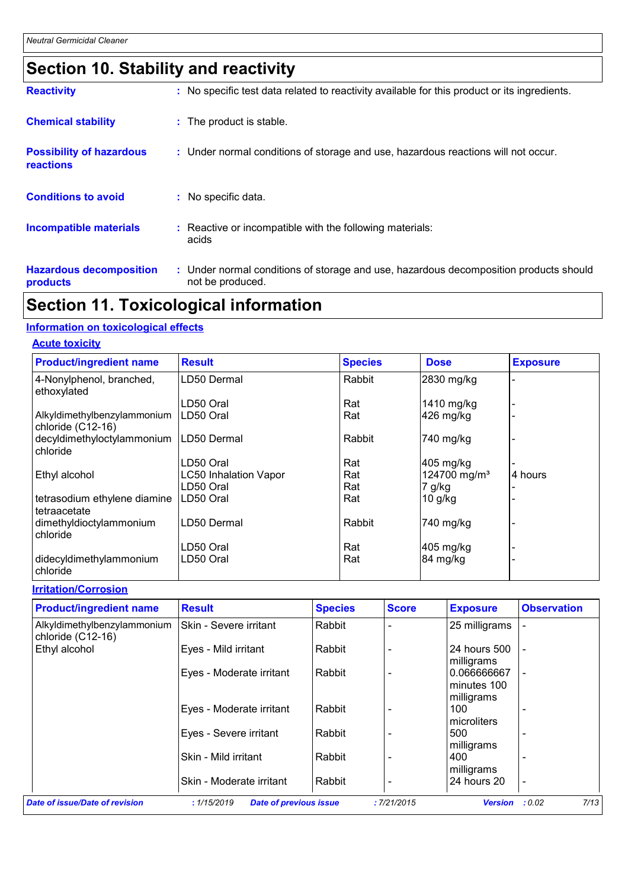# **Section 10. Stability and reactivity**

| <b>Reactivity</b>                            | : No specific test data related to reactivity available for this product or its ingredients.              |
|----------------------------------------------|-----------------------------------------------------------------------------------------------------------|
| <b>Chemical stability</b>                    | : The product is stable.                                                                                  |
| <b>Possibility of hazardous</b><br>reactions | : Under normal conditions of storage and use, hazardous reactions will not occur.                         |
| <b>Conditions to avoid</b>                   | : No specific data.                                                                                       |
| <b>Incompatible materials</b>                | : Reactive or incompatible with the following materials:<br>acids                                         |
| <b>Hazardous decomposition</b><br>products   | : Under normal conditions of storage and use, hazardous decomposition products should<br>not be produced. |

# **Section 11. Toxicological information**

## **Information on toxicological effects**

## **Acute toxicity**

| <b>Product/ingredient name</b>                   | <b>Result</b>                | <b>Species</b> | <b>Dose</b>              | <b>Exposure</b> |
|--------------------------------------------------|------------------------------|----------------|--------------------------|-----------------|
| 4-Nonylphenol, branched,<br>ethoxylated          | LD50 Dermal                  | Rabbit         | 2830 mg/kg               |                 |
|                                                  | LD50 Oral                    | Rat            | 1410 mg/kg               |                 |
| Alkyldimethylbenzylammonium<br>chloride (C12-16) | LD50 Oral                    | Rat            | 426 mg/kg                |                 |
| decyldimethyloctylammonium                       | LD50 Dermal                  | Rabbit         | 740 mg/kg                |                 |
| chloride                                         |                              |                |                          |                 |
|                                                  | LD50 Oral                    | Rat            | $405$ mg/kg              |                 |
| Ethyl alcohol                                    | <b>LC50 Inhalation Vapor</b> | Rat            | 124700 mg/m <sup>3</sup> | 4 hours         |
|                                                  | LD50 Oral                    | Rat            | 7 g/kg                   |                 |
| tetrasodium ethylene diamine<br>tetraacetate     | LD50 Oral                    | Rat            | $10$ g/kg                |                 |
| dimethyldioctylammonium<br>chloride              | LD50 Dermal                  | Rabbit         | 740 mg/kg                |                 |
|                                                  | LD50 Oral                    | Rat            | 405 mg/kg                |                 |
| didecyldimethylammonium<br>chloride              | LD50 Oral                    | Rat            | 84 mg/kg                 |                 |

### **Irritation/Corrosion**

| <b>Product/ingredient name</b>                   | <b>Result</b>                                | <b>Species</b> | <b>Score</b> | <b>Exposure</b>                          | <b>Observation</b> |
|--------------------------------------------------|----------------------------------------------|----------------|--------------|------------------------------------------|--------------------|
| Alkyldimethylbenzylammonium<br>chloride (C12-16) | <b>Skin - Severe irritant</b>                | Rabbit         |              | 25 milligrams                            |                    |
| Ethyl alcohol                                    | Eyes - Mild irritant                         | Rabbit         |              | 24 hours 500<br>milligrams               |                    |
|                                                  | Eyes - Moderate irritant                     | Rabbit         |              | 0.066666667<br>minutes 100<br>milligrams |                    |
|                                                  | Eyes - Moderate irritant                     | Rabbit         |              | 100<br>microliters                       |                    |
|                                                  | Eyes - Severe irritant                       | Rabbit         |              | 500<br>milligrams                        |                    |
|                                                  | Skin - Mild irritant                         | Rabbit         |              | 400<br>milligrams                        | ۰                  |
|                                                  | Skin - Moderate irritant                     | Rabbit         |              | 24 hours 20                              |                    |
| Date of issue/Date of revision                   | : 1/15/2019<br><b>Date of previous issue</b> |                | :7/21/2015   | <b>Version</b>                           | 7/13<br>: 0.02     |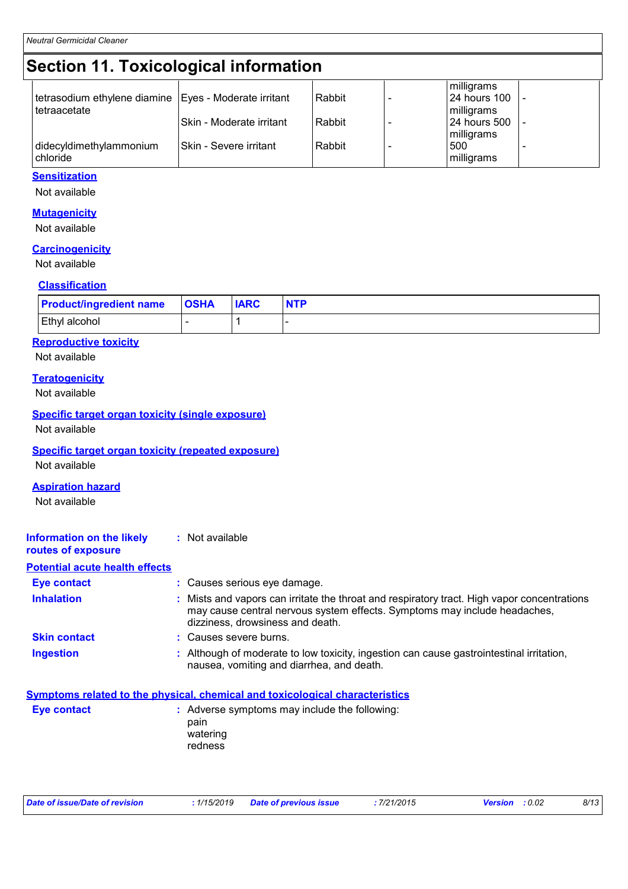# **Section 11. Toxicological information**

#### **Sensitization**

Not available

#### **Mutagenicity**

Not available

#### **Carcinogenicity**

Not available

### **Classification**

| <b>Product/ingredient name   OSHA</b> | <b>IARC</b> | <b>NTP</b> |
|---------------------------------------|-------------|------------|
| <b>Ethyl alcohol</b>                  |             |            |

### **Reproductive toxicity**

Not available

## **Teratogenicity**

Not available

#### **Specific target organ toxicity (single exposure)**

Not available

#### **Specific target organ toxicity (repeated exposure)**

Not available

#### **Aspiration hazard**

Not available

#### **Information on the likely routes of exposure :** Not available

**Potential acute health effects**

| <b>Eye contact</b>  | : Causes serious eye damage.                                                                                                                                                                                 |
|---------------------|--------------------------------------------------------------------------------------------------------------------------------------------------------------------------------------------------------------|
| <b>Inhalation</b>   | : Mists and vapors can irritate the throat and respiratory tract. High vapor concentrations<br>may cause central nervous system effects. Symptoms may include headaches,<br>dizziness, drowsiness and death. |
| <b>Skin contact</b> | : Causes severe burns.                                                                                                                                                                                       |
| <b>Ingestion</b>    | : Although of moderate to low toxicity, ingestion can cause gastrointestinal irritation,                                                                                                                     |

## nausea, vomiting and diarrhea, and death.

## **Symptoms related to the physical, chemical and toxicological characteristics**

| <b>Eve contact</b> | : Adverse symptoms may include the following:<br>pain<br>watering<br>redness |
|--------------------|------------------------------------------------------------------------------|
|                    |                                                                              |

| Date of issue/Date of revision | . 1/15/2019 | <b>Date of previous issue</b> | : 7/21/2015 | <b>Version</b> : 0.02 | 8/13 |
|--------------------------------|-------------|-------------------------------|-------------|-----------------------|------|
|                                |             |                               |             |                       |      |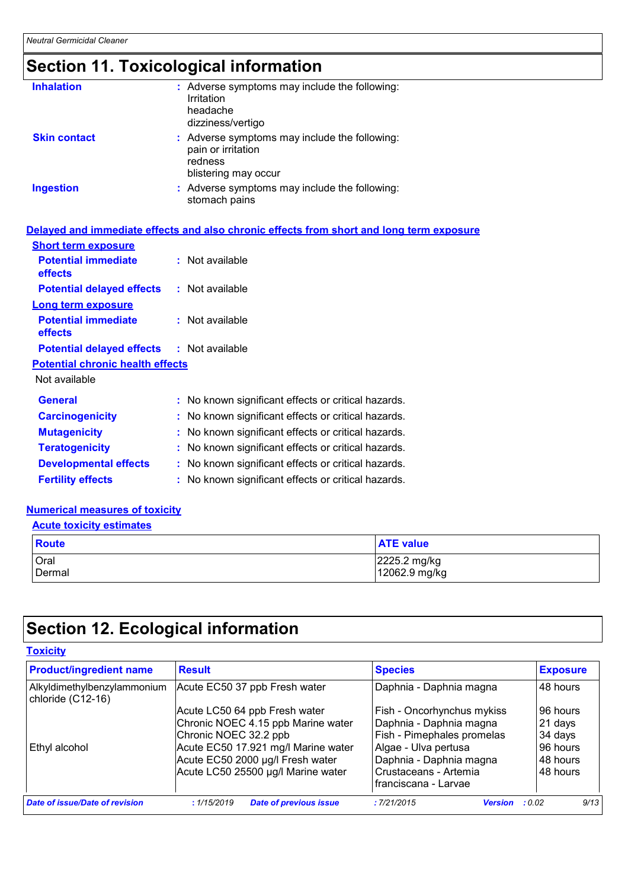# **Section 11. Toxicological information**

| <b>Inhalation</b>   | : Adverse symptoms may include the following:<br>Irritation<br>headache<br>dizziness/vertigo           |
|---------------------|--------------------------------------------------------------------------------------------------------|
| <b>Skin contact</b> | : Adverse symptoms may include the following:<br>pain or irritation<br>redness<br>blistering may occur |
| <b>Ingestion</b>    | : Adverse symptoms may include the following:<br>stomach pains                                         |

## **Delayed and immediate effects and also chronic effects from short and long term exposure**

| <b>Short term exposure</b>                       |                                                     |
|--------------------------------------------------|-----------------------------------------------------|
| <b>Potential immediate</b><br>effects            | $:$ Not available                                   |
| <b>Potential delayed effects</b>                 | : Not available                                     |
| <b>Long term exposure</b>                        |                                                     |
| <b>Potential immediate</b><br>effects            | : Not available                                     |
| <b>Potential delayed effects : Not available</b> |                                                     |
| <b>Potential chronic health effects</b>          |                                                     |
| Not available                                    |                                                     |
| <b>General</b>                                   | : No known significant effects or critical hazards. |
| <b>Carcinogenicity</b>                           | : No known significant effects or critical hazards. |
| <b>Mutagenicity</b>                              | : No known significant effects or critical hazards. |
| <b>Teratogenicity</b>                            | : No known significant effects or critical hazards. |
| <b>Developmental effects</b>                     | : No known significant effects or critical hazards. |
| <b>Fertility effects</b>                         | : No known significant effects or critical hazards. |

## **Numerical measures of toxicity**

#### **Acute toxicity estimates**

| Route  | <b>ATE</b> value |
|--------|------------------|
| Oral   | 2225.2 mg/kg     |
| Dermal | 12062.9 mg/kg    |

# **Section 12. Ecological information**

| <b>Product/ingredient name</b>                   | <b>Result</b>                               | <b>Species</b>                        | <b>Exposure</b> |
|--------------------------------------------------|---------------------------------------------|---------------------------------------|-----------------|
| Alkyldimethylbenzylammonium<br>chloride (C12-16) | Acute EC50 37 ppb Fresh water               | Daphnia - Daphnia magna               | 48 hours        |
|                                                  | Acute LC50 64 ppb Fresh water               | Fish - Oncorhynchus mykiss            | l 96 hours      |
|                                                  | Chronic NOEC 4.15 ppb Marine water          | Daphnia - Daphnia magna               | 21 days         |
|                                                  | Chronic NOEC 32.2 ppb                       | Fish - Pimephales promelas            | 34 days         |
| Ethyl alcohol                                    | Acute EC50 17.921 mg/l Marine water         | Algae - Ulva pertusa                  | 96 hours        |
|                                                  | Acute EC50 2000 µg/l Fresh water            | Daphnia - Daphnia magna               | l 48 hours      |
|                                                  | Acute LC50 25500 µg/l Marine water          | Crustaceans - Artemia                 | 48 hours        |
|                                                  |                                             | franciscana - Larvae                  |                 |
| Date of issue/Date of revision                   | <b>Date of previous issue</b><br>:1/15/2019 | :7/21/2015<br><b>Version</b> : $0.02$ | 9/13            |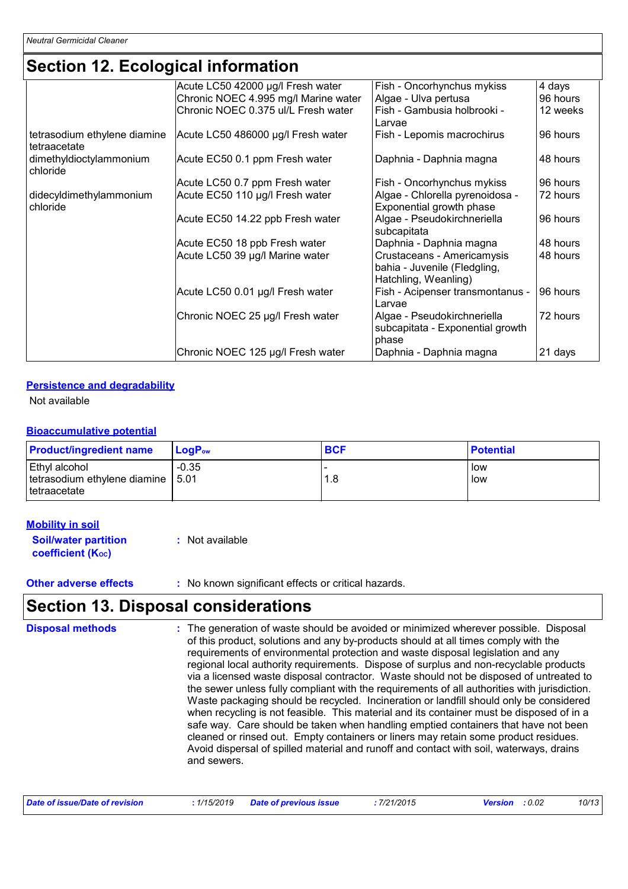# **Section 12. Ecological information**

|                                              | Acute LC50 42000 µg/l Fresh water    | Fish - Oncorhynchus mykiss                                                         | 4 days   |
|----------------------------------------------|--------------------------------------|------------------------------------------------------------------------------------|----------|
|                                              | Chronic NOEC 4.995 mg/l Marine water | Algae - Ulva pertusa                                                               | 96 hours |
|                                              | Chronic NOEC 0.375 ul/L Fresh water  | Fish - Gambusia holbrooki -                                                        | 12 weeks |
|                                              |                                      | Larvae                                                                             |          |
| tetrasodium ethylene diamine<br>tetraacetate | Acute LC50 486000 µg/l Fresh water   | Fish - Lepomis macrochirus                                                         | 96 hours |
| dimethyldioctylammonium<br>chloride          | Acute EC50 0.1 ppm Fresh water       | Daphnia - Daphnia magna                                                            | 48 hours |
|                                              | Acute LC50 0.7 ppm Fresh water       | Fish - Oncorhynchus mykiss                                                         | 96 hours |
| didecyldimethylammonium                      | Acute EC50 110 µg/l Fresh water      | Algae - Chlorella pyrenoidosa -                                                    | 72 hours |
| chloride                                     |                                      | Exponential growth phase                                                           |          |
|                                              | Acute EC50 14.22 ppb Fresh water     | Algae - Pseudokirchneriella<br>subcapitata                                         | 96 hours |
|                                              | Acute EC50 18 ppb Fresh water        | Daphnia - Daphnia magna                                                            | 48 hours |
|                                              | Acute LC50 39 µg/l Marine water      | Crustaceans - Americamysis<br>bahia - Juvenile (Fledgling,<br>Hatchling, Weanling) | 48 hours |
|                                              | Acute LC50 0.01 µg/l Fresh water     | Fish - Acipenser transmontanus -<br>Larvae                                         | 96 hours |
|                                              | Chronic NOEC 25 µg/l Fresh water     | Algae - Pseudokirchneriella<br>subcapitata - Exponential growth<br>phase           | 72 hours |
|                                              | Chronic NOEC 125 µg/l Fresh water    | Daphnia - Daphnia magna                                                            | 21 days  |

## **Persistence and degradability**

Not available

### **Bioaccumulative potential**

| <b>Product/ingredient name</b>                                         | $LoaPow$ | <b>BCF</b> | <b>Potential</b> |
|------------------------------------------------------------------------|----------|------------|------------------|
| Ethyl alcohol<br>tetrasodium ethylene diamine   5.01<br>I tetraacetate | $-0.35$  | 1.8        | low<br>low       |

## **Mobility in soil**

| <b>Soil/water partition</b> | : Not available |
|-----------------------------|-----------------|
| <b>coefficient (Koc)</b>    |                 |

**Other adverse effects** : No known significant effects or critical hazards.

## **Section 13. Disposal considerations**

The generation of waste should be avoided or minimized wherever possible. Disposal of this product, solutions and any by-products should at all times comply with the requirements of environmental protection and waste disposal legislation and any regional local authority requirements. Dispose of surplus and non-recyclable products via a licensed waste disposal contractor. Waste should not be disposed of untreated to the sewer unless fully compliant with the requirements of all authorities with jurisdiction. Waste packaging should be recycled. Incineration or landfill should only be considered when recycling is not feasible. This material and its container must be disposed of in a safe way. Care should be taken when handling emptied containers that have not been cleaned or rinsed out. Empty containers or liners may retain some product residues. Avoid dispersal of spilled material and runoff and contact with soil, waterways, drains and sewers. **Disposal methods :**

| Date of issue/Date of revision<br>. 1/15/2019 | Date of previous issue | 7/21/2015 | <b>Version</b> : 0.02 | 10/13 |
|-----------------------------------------------|------------------------|-----------|-----------------------|-------|
|-----------------------------------------------|------------------------|-----------|-----------------------|-------|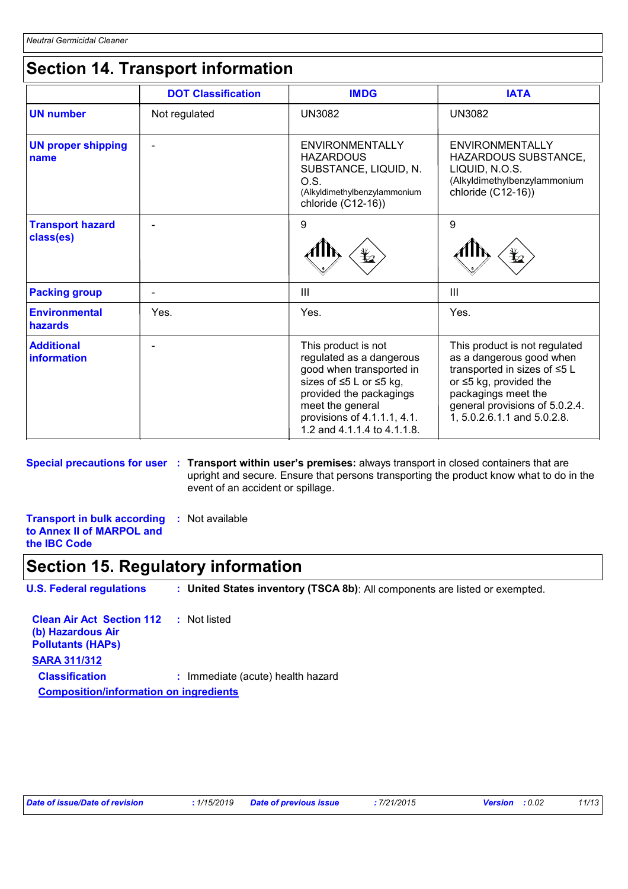# **Section 14. Transport information**

|                                      | <b>DOT Classification</b> | <b>IMDG</b>                                                                                                                                                                                                         | <b>IATA</b>                                                                                                                                                                                                 |
|--------------------------------------|---------------------------|---------------------------------------------------------------------------------------------------------------------------------------------------------------------------------------------------------------------|-------------------------------------------------------------------------------------------------------------------------------------------------------------------------------------------------------------|
| <b>UN number</b>                     | Not regulated             | <b>UN3082</b>                                                                                                                                                                                                       | <b>UN3082</b>                                                                                                                                                                                               |
| <b>UN proper shipping</b><br>name    |                           | <b>ENVIRONMENTALLY</b><br><b>HAZARDOUS</b><br>SUBSTANCE, LIQUID, N.<br>O.S.<br>(Alkyldimethylbenzylammonium<br>chloride (C12-16))                                                                                   | <b>ENVIRONMENTALLY</b><br>HAZARDOUS SUBSTANCE,<br>LIQUID, N.O.S.<br>(Alkyldimethylbenzylammonium<br>chloride (C12-16))                                                                                      |
| <b>Transport hazard</b><br>class(es) |                           | 9                                                                                                                                                                                                                   | 9                                                                                                                                                                                                           |
| <b>Packing group</b>                 |                           | Ш                                                                                                                                                                                                                   | III                                                                                                                                                                                                         |
| <b>Environmental</b><br>hazards      | Yes.                      | Yes.                                                                                                                                                                                                                | Yes.                                                                                                                                                                                                        |
| <b>Additional</b><br>information     |                           | This product is not<br>regulated as a dangerous<br>good when transported in<br>sizes of ≤5 L or ≤5 kg,<br>provided the packagings<br>meet the general<br>provisions of 4.1.1.1, 4.1.<br>1.2 and 4.1.1.4 to 4.1.1.8. | This product is not regulated<br>as a dangerous good when<br>transported in sizes of ≤5 L<br>or ≤5 kg, provided the<br>packagings meet the<br>general provisions of 5.0.2.4.<br>1, 5.0.2.6.1.1 and 5.0.2.8. |

**Special precautions for user Transport within user's premises:** always transport in closed containers that are **:** upright and secure. Ensure that persons transporting the product know what to do in the event of an accident or spillage.

**Transport in bulk according to Annex II of MARPOL and the IBC Code :** Not available

# **Section 15. Regulatory information**

**U.S. Federal regulations : United States inventory (TSCA 8b)**: All components are listed or exempted.

| <b>Clean Air Act Section 112 : Not listed</b><br>(b) Hazardous Air<br><b>Pollutants (HAPs)</b> |                                   |  |
|------------------------------------------------------------------------------------------------|-----------------------------------|--|
| <b>SARA 311/312</b>                                                                            |                                   |  |
| <b>Classification</b>                                                                          | : Immediate (acute) health hazard |  |
| <b>Composition/information on ingredients</b>                                                  |                                   |  |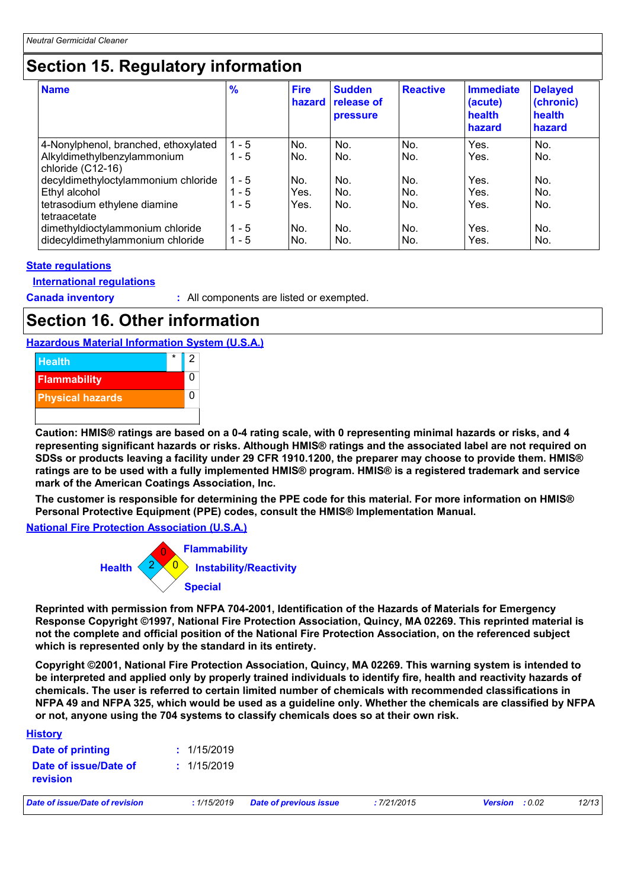# **Section 15. Regulatory information**

| <b>Name</b>                                                                                          | $\frac{9}{6}$                 | <b>Fire</b><br>hazard | <b>Sudden</b><br>release of<br><b>pressure</b> | <b>Reactive</b>   | <b>Immediate</b><br>(acute)<br>health<br>hazard | <b>Delayed</b><br>(chronic)<br>health<br>hazard |
|------------------------------------------------------------------------------------------------------|-------------------------------|-----------------------|------------------------------------------------|-------------------|-------------------------------------------------|-------------------------------------------------|
| 4-Nonylphenol, branched, ethoxylated<br>Alkyldimethylbenzylammonium<br>chloride (C12-16)             | $1 - 5$<br>$1 - 5$            | No.<br>No.            | No.<br>No.                                     | No.<br>No.        | Yes.<br>Yes.                                    | No.<br>No.                                      |
| decyldimethyloctylammonium chloride<br>Ethyl alcohol<br>tetrasodium ethylene diamine<br>tetraacetate | $1 - 5$<br>$1 - 5$<br>$1 - 5$ | No.<br>Yes.<br>Yes.   | No.<br>No.<br>No.                              | No.<br>No.<br>No. | Yes.<br>Yes.<br>Yes.                            | No.<br>No.<br>No.                               |
| dimethyldioctylammonium chloride<br>didecyldimethylammonium chloride                                 | $1 - 5$<br>$1 - 5$            | No.<br>No.            | No.<br>No.                                     | No.<br>No.        | Yes.<br>Yes.                                    | No.<br>No.                                      |

## **State regulations**

## **International regulations**

**Canada inventory :** All components are listed or exempted.

# **Section 16. Other information**

## **Hazardous Material Information System (U.S.A.)**



**Caution: HMIS® ratings are based on a 0-4 rating scale, with 0 representing minimal hazards or risks, and 4 representing significant hazards or risks. Although HMIS® ratings and the associated label are not required on SDSs or products leaving a facility under 29 CFR 1910.1200, the preparer may choose to provide them. HMIS® ratings are to be used with a fully implemented HMIS® program. HMIS® is a registered trademark and service mark of the American Coatings Association, Inc.**

**The customer is responsible for determining the PPE code for this material. For more information on HMIS® Personal Protective Equipment (PPE) codes, consult the HMIS® Implementation Manual.**

**National Fire Protection Association (U.S.A.)**



**Reprinted with permission from NFPA 704-2001, Identification of the Hazards of Materials for Emergency Response Copyright ©1997, National Fire Protection Association, Quincy, MA 02269. This reprinted material is not the complete and official position of the National Fire Protection Association, on the referenced subject which is represented only by the standard in its entirety.**

**Copyright ©2001, National Fire Protection Association, Quincy, MA 02269. This warning system is intended to be interpreted and applied only by properly trained individuals to identify fire, health and reactivity hazards of chemicals. The user is referred to certain limited number of chemicals with recommended classifications in NFPA 49 and NFPA 325, which would be used as a guideline only. Whether the chemicals are classified by NFPA or not, anyone using the 704 systems to classify chemicals does so at their own risk.**

| <b>History</b>                           |             |                               |             |                |        |       |
|------------------------------------------|-------------|-------------------------------|-------------|----------------|--------|-------|
| Date of printing                         | : 1/15/2019 |                               |             |                |        |       |
| Date of issue/Date of<br><b>revision</b> | : 1/15/2019 |                               |             |                |        |       |
| Date of issue/Date of revision           | :1/15/2019  | <b>Date of previous issue</b> | : 7/21/2015 | <b>Version</b> | : 0.02 | 12/13 |